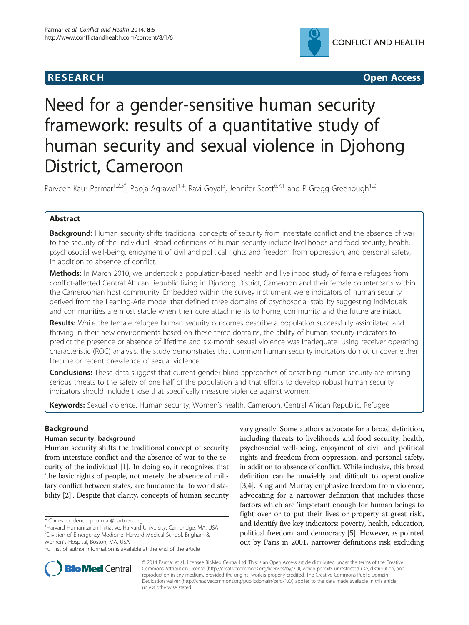# **RESEARCH CHE CHE Open Access**



# Need for a gender-sensitive human security framework: results of a quantitative study of human security and sexual violence in Djohong District, Cameroon

Parveen Kaur Parmar<sup>1,2,3\*</sup>, Pooja Agrawal<sup>1,4</sup>, Ravi Goyal<sup>5</sup>, Jennifer Scott<sup>6,7,1</sup> and P Gregg Greenough<sup>1,2</sup>

# Abstract

**Background:** Human security shifts traditional concepts of security from interstate conflict and the absence of war to the security of the individual. Broad definitions of human security include livelihoods and food security, health, psychosocial well-being, enjoyment of civil and political rights and freedom from oppression, and personal safety, in addition to absence of conflict.

Methods: In March 2010, we undertook a population-based health and livelihood study of female refugees from conflict-affected Central African Republic living in Djohong District, Cameroon and their female counterparts within the Cameroonian host community. Embedded within the survey instrument were indicators of human security derived from the Leaning-Arie model that defined three domains of psychosocial stability suggesting individuals and communities are most stable when their core attachments to home, community and the future are intact.

Results: While the female refugee human security outcomes describe a population successfully assimilated and thriving in their new environments based on these three domains, the ability of human security indicators to predict the presence or absence of lifetime and six-month sexual violence was inadequate. Using receiver operating characteristic (ROC) analysis, the study demonstrates that common human security indicators do not uncover either lifetime or recent prevalence of sexual violence.

**Conclusions:** These data suggest that current gender-blind approaches of describing human security are missing serious threats to the safety of one half of the population and that efforts to develop robust human security indicators should include those that specifically measure violence against women.

Keywords: Sexual violence, Human security, Women's health, Cameroon, Central African Republic, Refugee

# Background

# Human security: background

Human security shifts the traditional concept of security from interstate conflict and the absence of war to the security of the individual [[1\]](#page-10-0). In doing so, it recognizes that 'the basic rights of people, not merely the absence of military conflict between states, are fundamental to world stability [[2](#page-10-0)]'. Despite that clarity, concepts of human security vary greatly. Some authors advocate for a broad definition, including threats to livelihoods and food security, health, psychosocial well-being, enjoyment of civil and political rights and freedom from oppression, and personal safety, in addition to absence of conflict. While inclusive, this broad definition can be unwieldy and difficult to operationalize [[3,4\]](#page-10-0). King and Murray emphasize freedom from violence, advocating for a narrower definition that includes those factors which are 'important enough for human beings to fight over or to put their lives or property at great risk', and identify five key indicators: poverty, health, education, political freedom, and democracy [\[5](#page-10-0)]. However, as pointed out by Paris in 2001, narrower definitions risk excluding



© 2014 Parmar et al.; licensee BioMed Central Ltd. This is an Open Access article distributed under the terms of the Creative Commons Attribution License [\(http://creativecommons.org/licenses/by/2.0\)](http://creativecommons.org/licenses/by/2.0), which permits unrestricted use, distribution, and reproduction in any medium, provided the original work is properly credited. The Creative Commons Public Domain Dedication waiver [\(http://creativecommons.org/publicdomain/zero/1.0/](http://creativecommons.org/publicdomain/zero/1.0/)) applies to the data made available in this article, unless otherwise stated.

<sup>\*</sup> Correspondence: [pparmar@partners.org](mailto:pparmar@partners.org) <sup>1</sup>

<sup>&</sup>lt;sup>1</sup> Harvard Humanitarian Initiative, Harvard University, Cambridge, MA, USA 2 Division of Emergency Medicine, Harvard Medical School, Brigham & Women's Hospital, Boston, MA, USA

Full list of author information is available at the end of the article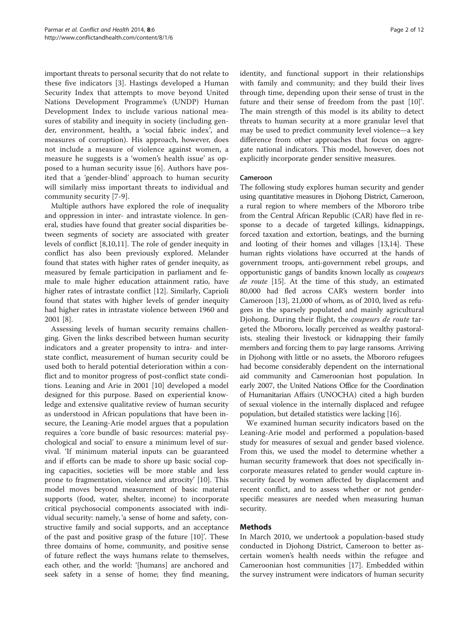important threats to personal security that do not relate to these five indicators [[3\]](#page-10-0). Hastings developed a Human Security Index that attempts to move beyond United Nations Development Programme's (UNDP) Human Development Index to include various national measures of stability and inequity in society (including gender, environment, health, a 'social fabric index', and measures of corruption). His approach, however, does not include a measure of violence against women, a measure he suggests is a 'women's health issue' as opposed to a human security issue [[6](#page-10-0)]. Authors have posited that a 'gender-blind' approach to human security will similarly miss important threats to individual and community security [\[7](#page-10-0)-[9](#page-10-0)].

Multiple authors have explored the role of inequality and oppression in inter- and intrastate violence. In general, studies have found that greater social disparities between segments of society are associated with greater levels of conflict [[8,10](#page-10-0),[11](#page-10-0)]. The role of gender inequity in conflict has also been previously explored. Melander found that states with higher rates of gender inequity, as measured by female participation in parliament and female to male higher education attainment ratio, have higher rates of intrastate conflict [\[12\]](#page-10-0). Similarly, Caprioli found that states with higher levels of gender inequity had higher rates in intrastate violence between 1960 and 2001 [\[8](#page-10-0)].

Assessing levels of human security remains challenging. Given the links described between human security indicators and a greater propensity to intra- and interstate conflict, measurement of human security could be used both to herald potential deterioration within a conflict and to monitor progress of post-conflict state conditions. Leaning and Arie in 2001 [[10\]](#page-10-0) developed a model designed for this purpose. Based on experiential knowledge and extensive qualitative review of human security as understood in African populations that have been insecure, the Leaning-Arie model argues that a population requires a 'core bundle of basic resources: material psychological and social' to ensure a minimum level of survival. 'If minimum material inputs can be guaranteed and if efforts can be made to shore up basic social coping capacities, societies will be more stable and less prone to fragmentation, violence and atrocity' [[10\]](#page-10-0). This model moves beyond measurement of basic material supports (food, water, shelter, income) to incorporate critical psychosocial components associated with individual security: namely, 'a sense of home and safety, constructive family and social supports, and an acceptance of the past and positive grasp of the future [\[10](#page-10-0)]'. These three domains of home, community, and positive sense of future reflect the ways humans relate to themselves, each other, and the world: '[humans] are anchored and seek safety in a sense of home; they find meaning, identity, and functional support in their relationships with family and community; and they build their lives through time, depending upon their sense of trust in the future and their sense of freedom from the past [[10](#page-10-0)]'. The main strength of this model is its ability to detect threats to human security at a more granular level that may be used to predict community level violence—a key difference from other approaches that focus on aggregate national indicators. This model, however, does not explicitly incorporate gender sensitive measures.

# Cameroon

The following study explores human security and gender using quantitative measures in Djohong District, Cameroon, a rural region to where members of the Mbororo tribe from the Central African Republic (CAR) have fled in response to a decade of targeted killings, kidnappings, forced taxation and extortion, beatings, and the burning and looting of their homes and villages [\[13,14](#page-10-0)]. These human rights violations have occurred at the hands of government troops, anti-government rebel groups, and opportunistic gangs of bandits known locally as coupeurs de route [[15\]](#page-10-0). At the time of this study, an estimated 80,000 had fled across CAR's western border into Cameroon [\[13\]](#page-10-0), 21,000 of whom, as of 2010, lived as refugees in the sparsely populated and mainly agricultural Djohong. During their flight, the coupeurs de route targeted the Mbororo, locally perceived as wealthy pastoralists, stealing their livestock or kidnapping their family members and forcing them to pay large ransoms. Arriving in Djohong with little or no assets, the Mbororo refugees had become considerably dependent on the international aid community and Cameroonian host population. In early 2007, the United Nations Office for the Coordination of Humanitarian Affairs (UNOCHA) cited a high burden of sexual violence in the internally displaced and refugee population, but detailed statistics were lacking [[16](#page-10-0)].

We examined human security indicators based on the Leaning-Arie model and performed a population-based study for measures of sexual and gender based violence. From this, we used the model to determine whether a human security framework that does not specifically incorporate measures related to gender would capture insecurity faced by women affected by displacement and recent conflict, and to assess whether or not genderspecific measures are needed when measuring human security.

# Methods

In March 2010, we undertook a population-based study conducted in Djohong District, Cameroon to better ascertain women's health needs within the refugee and Cameroonian host communities [\[17\]](#page-11-0). Embedded within the survey instrument were indicators of human security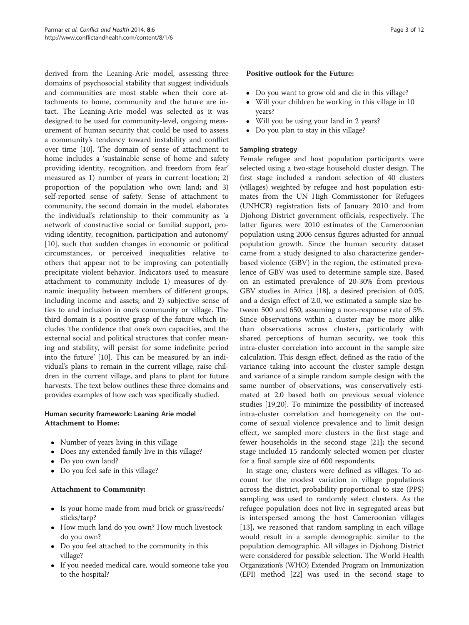derived from the Leaning-Arie model, assessing three domains of psychosocial stability that suggest individuals and communities are most stable when their core attachments to home, community and the future are intact. The Leaning-Arie model was selected as it was designed to be used for community-level, ongoing measurement of human security that could be used to assess a community's tendency toward instability and conflict over time [[10\]](#page-10-0). The domain of sense of attachment to home includes a 'sustainable sense of home and safety providing identity, recognition, and freedom from fear' measured as 1) number of years in current location; 2) proportion of the population who own land; and 3) self-reported sense of safety. Sense of attachment to community, the second domain in the model, elaborates the individual's relationship to their community as 'a network of constructive social or familial support, providing identity, recognition, participation and autonomy' [[10\]](#page-10-0), such that sudden changes in economic or political circumstances, or perceived inequalities relative to others that appear not to be improving can potentially precipitate violent behavior. Indicators used to measure attachment to community include 1) measures of dynamic inequality between members of different groups, including income and assets; and 2) subjective sense of ties to and inclusion in one's community or village. The third domain is a positive grasp of the future which includes 'the confidence that one's own capacities, and the external social and political structures that confer meaning and stability, will persist for some indefinite period into the future' [[10](#page-10-0)]. This can be measured by an individual's plans to remain in the current village, raise children in the current village, and plans to plant for future harvests. The text below outlines these three domains and provides examples of how each was specifically studied.

# Human security framework: Leaning Arie model Attachment to Home:

- Number of years living in this village
- Does any extended family live in this village?
- Do you own land?
- Do you feel safe in this village?

# Attachment to Community:

- Is your home made from mud brick or grass/reeds/ sticks/tarp?
- How much land do you own? How much livestock do you own?
- Do you feel attached to the community in this village?
- If you needed medical care, would someone take you to the hospital?

# Positive outlook for the Future:

- Do you want to grow old and die in this village?
- Will your children be working in this village in 10 years?
- Will you be using your land in 2 years?
- Do you plan to stay in this village?

# Sampling strategy

Female refugee and host population participants were selected using a two-stage household cluster design. The first stage included a random selection of 40 clusters (villages) weighted by refugee and host population estimates from the UN High Commissioner for Refugees (UNHCR) registration lists of January 2010 and from Djohong District government officials, respectively. The latter figures were 2010 estimates of the Cameroonian population using 2006 census figures adjusted for annual population growth. Since the human security dataset came from a study designed to also characterize genderbased violence (GBV) in the region, the estimated prevalence of GBV was used to determine sample size. Based on an estimated prevalence of 20-30% from previous GBV studies in Africa [[18\]](#page-11-0), a desired precision of 0.05, and a design effect of 2.0, we estimated a sample size between 500 and 650, assuming a non-response rate of 5%. Since observations within a cluster may be more alike than observations across clusters, particularly with shared perceptions of human security, we took this intra-cluster correlation into account in the sample size calculation. This design effect, defined as the ratio of the variance taking into account the cluster sample design and variance of a simple random sample design with the same number of observations, was conservatively estimated at 2.0 based both on previous sexual violence studies [[19,20\]](#page-11-0). To minimize the possibility of increased intra-cluster correlation and homogeneity on the outcome of sexual violence prevalence and to limit design effect, we sampled more clusters in the first stage and fewer households in the second stage [\[21\]](#page-11-0); the second stage included 15 randomly selected women per cluster for a final sample size of 600 respondents.

In stage one, clusters were defined as villages. To account for the modest variation in village populations across the district, probability proportional to size (PPS) sampling was used to randomly select clusters. As the refugee population does not live in segregated areas but is interspersed among the host Cameroonian villages [[13\]](#page-10-0), we reasoned that random sampling in each village would result in a sample demographic similar to the population demographic. All villages in Djohong District were considered for possible selection. The World Health Organization's (WHO) Extended Program on Immunization (EPI) method [[22](#page-11-0)] was used in the second stage to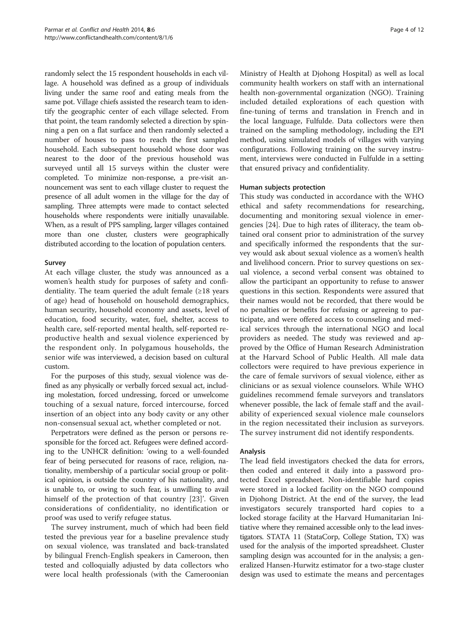randomly select the 15 respondent households in each village. A household was defined as a group of individuals living under the same roof and eating meals from the same pot. Village chiefs assisted the research team to identify the geographic center of each village selected. From that point, the team randomly selected a direction by spinning a pen on a flat surface and then randomly selected a number of houses to pass to reach the first sampled household. Each subsequent household whose door was nearest to the door of the previous household was surveyed until all 15 surveys within the cluster were completed. To minimize non-response, a pre-visit announcement was sent to each village cluster to request the presence of all adult women in the village for the day of sampling. Three attempts were made to contact selected households where respondents were initially unavailable. When, as a result of PPS sampling, larger villages contained more than one cluster, clusters were geographically distributed according to the location of population centers.

### Survey

At each village cluster, the study was announced as a women's health study for purposes of safety and confidentiality. The team queried the adult female  $(\geq 18$  years of age) head of household on household demographics, human security, household economy and assets, level of education, food security, water, fuel, shelter, access to health care, self-reported mental health, self-reported reproductive health and sexual violence experienced by the respondent only. In polygamous households, the senior wife was interviewed, a decision based on cultural custom.

For the purposes of this study, sexual violence was defined as any physically or verbally forced sexual act, including molestation, forced undressing, forced or unwelcome touching of a sexual nature, forced intercourse, forced insertion of an object into any body cavity or any other non-consensual sexual act, whether completed or not.

Perpetrators were defined as the person or persons responsible for the forced act. Refugees were defined according to the UNHCR definition: 'owing to a well-founded fear of being persecuted for reasons of race, religion, nationality, membership of a particular social group or political opinion, is outside the country of his nationality, and is unable to, or owing to such fear, is unwilling to avail himself of the protection of that country [[23\]](#page-11-0)'. Given considerations of confidentiality, no identification or proof was used to verify refugee status.

The survey instrument, much of which had been field tested the previous year for a baseline prevalence study on sexual violence, was translated and back-translated by bilingual French-English speakers in Cameroon, then tested and colloquially adjusted by data collectors who were local health professionals (with the Cameroonian Ministry of Health at Djohong Hospital) as well as local community health workers on staff with an international health non-governmental organization (NGO). Training included detailed explorations of each question with fine-tuning of terms and translation in French and in the local language, Fulfulde. Data collectors were then trained on the sampling methodology, including the EPI method, using simulated models of villages with varying configurations. Following training on the survey instrument, interviews were conducted in Fulfulde in a setting that ensured privacy and confidentiality.

# Human subjects protection

This study was conducted in accordance with the WHO ethical and safety recommendations for researching, documenting and monitoring sexual violence in emergencies [[24\]](#page-11-0). Due to high rates of illiteracy, the team obtained oral consent prior to administration of the survey and specifically informed the respondents that the survey would ask about sexual violence as a women's health and livelihood concern. Prior to survey questions on sexual violence, a second verbal consent was obtained to allow the participant an opportunity to refuse to answer questions in this section. Respondents were assured that their names would not be recorded, that there would be no penalties or benefits for refusing or agreeing to participate, and were offered access to counseling and medical services through the international NGO and local providers as needed. The study was reviewed and approved by the Office of Human Research Administration at the Harvard School of Public Health. All male data collectors were required to have previous experience in the care of female survivors of sexual violence, either as clinicians or as sexual violence counselors. While WHO guidelines recommend female surveyors and translators whenever possible, the lack of female staff and the availability of experienced sexual violence male counselors in the region necessitated their inclusion as surveyors. The survey instrument did not identify respondents.

# Analysis

The lead field investigators checked the data for errors, then coded and entered it daily into a password protected Excel spreadsheet. Non-identifiable hard copies were stored in a locked facility on the NGO compound in Djohong District. At the end of the survey, the lead investigators securely transported hard copies to a locked storage facility at the Harvard Humanitarian Initiative where they remained accessible only to the lead investigators. STATA 11 (StataCorp, College Station, TX) was used for the analysis of the imported spreadsheet. Cluster sampling design was accounted for in the analysis; a generalized Hansen-Hurwitz estimator for a two-stage cluster design was used to estimate the means and percentages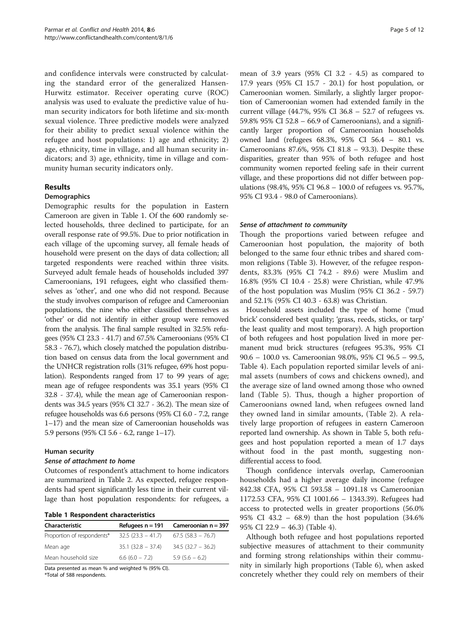and confidence intervals were constructed by calculating the standard error of the generalized Hansen-Hurwitz estimator. Receiver operating curve (ROC) analysis was used to evaluate the predictive value of human security indicators for both lifetime and six-month sexual violence. Three predictive models were analyzed for their ability to predict sexual violence within the refugee and host populations: 1) age and ethnicity; 2) age, ethnicity, time in village, and all human security indicators; and 3) age, ethnicity, time in village and community human security indicators only.

### Results

### **Demographics**

Demographic results for the population in Eastern Cameroon are given in Table 1. Of the 600 randomly selected households, three declined to participate, for an overall response rate of 99.5%. Due to prior notification in each village of the upcoming survey, all female heads of household were present on the days of data collection; all targeted respondents were reached within three visits. Surveyed adult female heads of households included 397 Cameroonians, 191 refugees, eight who classified themselves as 'other', and one who did not respond. Because the study involves comparison of refugee and Cameroonian populations, the nine who either classified themselves as 'other' or did not identify in either group were removed from the analysis. The final sample resulted in 32.5% refugees (95% CI 23.3 - 41.7) and 67.5% Cameroonians (95% CI 58.3 - 76.7), which closely matched the population distribution based on census data from the local government and the UNHCR registration rolls (31% refugee, 69% host population). Respondents ranged from 17 to 99 years of age; mean age of refugee respondents was 35.1 years (95% CI 32.8 - 37.4), while the mean age of Cameroonian respondents was 34.5 years (95% CI 32.7 - 36.2). The mean size of refugee households was 6.6 persons (95% CI 6.0 - 7.2, range 1–17) and the mean size of Cameroonian households was 5.9 persons (95% CI 5.6 - 6.2, range 1–17).

### Human security

Outcomes of respondent's attachment to home indicators are summarized in Table [2](#page-5-0). As expected, refugee respondents had spent significantly less time in their current village than host population respondents: for refugees, a

Table 1 Respondent characteristics

| Characteristic             | Refugees $n = 191$   | Cameroonian n = 397 |
|----------------------------|----------------------|---------------------|
| Proportion of respondents* | $32.5(23.3 - 41.7)$  | $67.5(58.3 - 76.7)$ |
| Mean age                   | $35.1 (32.8 - 37.4)$ | $34.5(32.7 - 36.2)$ |
| Mean household size        | $6.6$ $(6.0 - 7.2)$  | $5.9(5.6 - 6.2)$    |

Data presented as mean % and weighted % (95% CI).

\*Total of 588 respondents.

mean of 3.9 years (95% CI 3.2 - 4.5) as compared to 17.9 years (95% CI 15.7 - 20.1) for host population, or Cameroonian women. Similarly, a slightly larger proportion of Cameroonian women had extended family in the current village (44.7%, 95% CI 36.8 – 52.7 of refugees vs. 59.8% 95% CI 52.8 – 66.9 of Cameroonians), and a significantly larger proportion of Cameroonian households owned land (refugees 68.3%, 95% CI 56.4 – 80.1 vs. Cameroonians 87.6%, 95% CI 81.8 – 93.3). Despite these disparities, greater than 95% of both refugee and host community women reported feeling safe in their current village, and these proportions did not differ between populations (98.4%, 95% CI 96.8 – 100.0 of refugees vs. 95.7%, 95% CI 93.4 - 98.0 of Cameroonians).

Though the proportions varied between refugee and Cameroonian host population, the majority of both belonged to the same four ethnic tribes and shared common religions (Table [3\)](#page-5-0). However, of the refugee respondents, 83.3% (95% CI 74.2 - 89.6) were Muslim and 16.8% (95% CI 10.4 - 25.8) were Christian, while 47.9% of the host population was Muslim (95% CI 36.2 - 59.7) and 52.1% (95% CI 40.3 - 63.8) was Christian.

Household assets included the type of home ('mud brick' considered best quality; 'grass, reeds, sticks, or tarp' the least quality and most temporary). A high proportion of both refugees and host population lived in more permanent mud brick structures (refugees 95.3%, 95% CI 90.6 – 100.0 vs. Cameroonian 98.0%, 95% CI 96.5 – 99.5, Table [4](#page-6-0)). Each population reported similar levels of animal assets (numbers of cows and chickens owned), and the average size of land owned among those who owned land (Table [5](#page-6-0)). Thus, though a higher proportion of Cameroonians owned land, when refugees owned land they owned land in similar amounts, (Table [2\)](#page-5-0). A relatively large proportion of refugees in eastern Cameroon reported land ownership. As shown in Table [5](#page-6-0), both refugees and host population reported a mean of 1.7 days without food in the past month, suggesting nondifferential access to food.

Though confidence intervals overlap, Cameroonian households had a higher average daily income (refugee 842.38 CFA, 95% CI 593.58 – 1091.18 vs Cameroonian 1172.53 CFA, 95% CI 1001.66 – 1343.39). Refugees had access to protected wells in greater proportions (56.0% 95% CI 43.2 – 68.9) than the host population (34.6% 95% CI 22.9 – 46.3) (Table [4](#page-6-0)).

Although both refugee and host populations reported subjective measures of attachment to their community and forming strong relationships within their community in similarly high proportions (Table [6](#page-7-0)), when asked concretely whether they could rely on members of their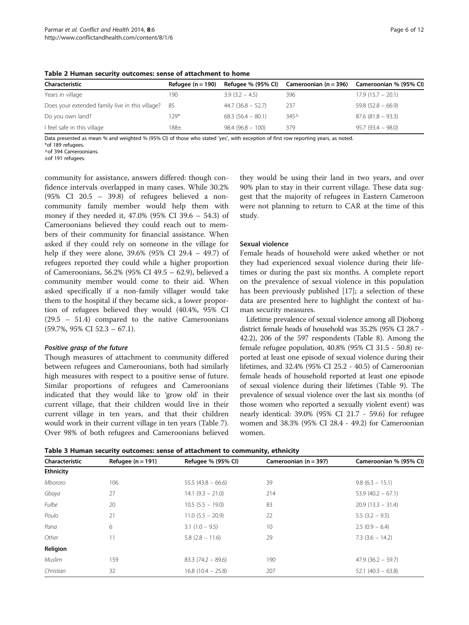<span id="page-5-0"></span>

| Characteristic                                     | Refugee $(n = 190)$ |                      | Refugee % (95% CI) Cameroonian (n = 396) | Cameroonian % (95% CI)   |
|----------------------------------------------------|---------------------|----------------------|------------------------------------------|--------------------------|
| Years in village                                   | 190.                | $3.9(3.2 - 4.5)$     | 396                                      | $17.9(15.7 - 20.1)$      |
| Does your extended family live in this village? 85 |                     | $44.7 (36.8 - 52.7)$ | 237                                      | $59.8(52.8 - 66.9)$      |
| Do you own land?                                   | 129*                | $68.3(56.4 - 80.1)$  | $345^{\circ}$                            | $87.6$ ( $81.8 - 93.3$ ) |
| I feel safe in this village                        | 188 <sub>±</sub>    | $98.4(96.8 - 100)$   | 379                                      | $95.7(93.4 - 98.0)$      |

Data presented as mean % and weighted % (95% CI) of those who stated 'yes', with exception of first row reporting years, as noted.

\*of 189 refugees.

^of 394 Cameroonians.

±of 191 refugees.

community for assistance, answers differed: though confidence intervals overlapped in many cases. While 30.2% (95% CI 20.5 – 39.8) of refugees believed a noncommunity family member would help them with money if they needed it, 47.0% (95% CI 39.6 – 54.3) of Cameroonians believed they could reach out to members of their community for financial assistance. When asked if they could rely on someone in the village for help if they were alone, 39.6% (95% CI 29.4 – 49.7) of refugees reported they could while a higher proportion of Cameroonians, 56.2% (95% CI 49.5 – 62.9), believed a community member would come to their aid. When asked specifically if a non-family villager would take them to the hospital if they became sick, a lower proportion of refugees believed they would (40.4%, 95% CI (29.5 – 51.4) compared to the native Cameroonians (59.7%, 95% CI 52.3 – 67.1).

Though measures of attachment to community differed between refugees and Cameroonians, both had similarly high measures with respect to a positive sense of future. Similar proportions of refugees and Cameroonians indicated that they would like to 'grow old' in their current village, that their children would live in their current village in ten years, and that their children would work in their current village in ten years (Table [7](#page-7-0)). Over 98% of both refugees and Cameroonians believed

they would be using their land in two years, and over 90% plan to stay in their current village. These data suggest that the majority of refugees in Eastern Cameroon were not planning to return to CAR at the time of this study.

### Sexual violence

Female heads of household were asked whether or not they had experienced sexual violence during their lifetimes or during the past six months. A complete report on the prevalence of sexual violence in this population has been previously published [[17\]](#page-11-0); a selection of these data are presented here to highlight the context of human security measures.

Lifetime prevalence of sexual violence among all Djohong district female heads of household was 35.2% (95% CI 28.7 - 42.2), 206 of the 597 respondents (Table [8\)](#page-8-0). Among the female refugee population, 40.8% (95% CI 31.5 - 50.8) reported at least one episode of sexual violence during their lifetimes, and 32.4% (95% CI 25.2 - 40.5) of Cameroonian female heads of household reported at least one episode of sexual violence during their lifetimes (Table [9\)](#page-8-0). The prevalence of sexual violence over the last six months (of those women who reported a sexually violent event) was nearly identical: 39.0% (95% CI 21.7 - 59.6) for refugee women and 38.3% (95% CI 28.4 - 49.2) for Cameroonian women.

| Table 3 Human security outcomes: sense of attachment to community, ethnicity |  |  |  |  |  |
|------------------------------------------------------------------------------|--|--|--|--|--|
|------------------------------------------------------------------------------|--|--|--|--|--|

| Characteristic   | Refugee ( $n = 191$ ) | Refugee % (95% CI)  | Cameroonian (n = 397) | Cameroonian % (95% CI) |
|------------------|-----------------------|---------------------|-----------------------|------------------------|
| <b>Ethnicity</b> |                       |                     |                       |                        |
| Mbororo          | 106                   | $55.5(43.8 - 66.6)$ | 39                    | $9.8(6.3 - 15.1)$      |
| Gbaya            | 27                    | $14.1 (9.3 - 21.0)$ | 214                   | $53.9(40.2 - 67.1)$    |
| Fulbe            | 20                    | $10.5$ (5.5 - 19.0) | 83                    | $20.9(13.3 - 31.4)$    |
| Poulo            | 21                    | $11.0$ (5.5 – 20.9) | 22                    | $5.5(3.2 - 9.5)$       |
| Pana             | 6                     | $3.1(1.0 - 9.5)$    | 10                    | $2.5(0.9 - 6.4)$       |
| Other            | 11                    | $5.8$ (2.8 - 11.6)  | 29                    | $7.3$ (3.6 - 14.2)     |
| Religion         |                       |                     |                       |                        |
| Muslim           | 159                   | $83.3(74.2 - 89.6)$ | 190                   | $47.9(36.2 - 59.7)$    |
| Christian        | 32                    | $16.8(10.4 - 25.8)$ | 207                   | $52.1 (40.3 - 63.8)$   |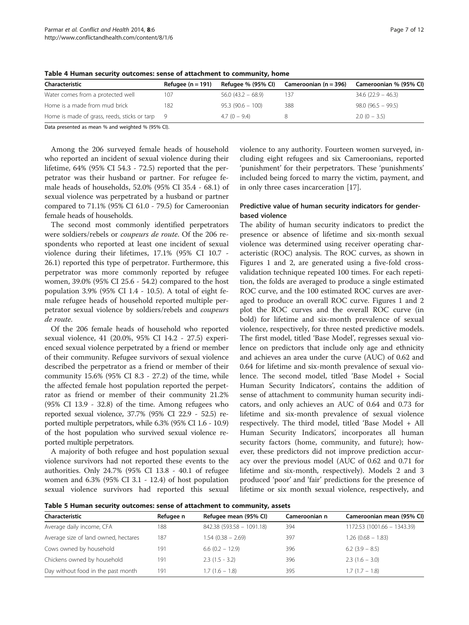| iwwie i limiiwii seemily owlednich school of wilmeningiil lo ediliinmiilyj libiile |                       |                     |                         |                        |
|------------------------------------------------------------------------------------|-----------------------|---------------------|-------------------------|------------------------|
| Characteristic                                                                     | Refugee ( $n = 191$ ) | Refugee % (95% CI)  | Cameroonian $(n = 396)$ | Cameroonian % (95% CI) |
| Water comes from a protected well                                                  | 107                   | $56.0(43.2 - 68.9)$ | 137                     | $34.6$ (22.9 – 46.3)   |
| Home is a made from mud brick                                                      | 182                   | $95.3(90.6 - 100)$  | 388                     | $98.0(96.5 - 99.5)$    |
| Home is made of grass, reeds, sticks or tarp 9                                     |                       | $4.7(0 - 9.4)$      |                         | $2.0(0 - 3.5)$         |

<span id="page-6-0"></span>Table 4 Human security outcomes: sense of attachment to community, home

Data presented as mean % and weighted % (95% CI).

Among the 206 surveyed female heads of household who reported an incident of sexual violence during their lifetime, 64% (95% CI 54.3 - 72.5) reported that the perpetrator was their husband or partner. For refugee female heads of households, 52.0% (95% CI 35.4 - 68.1) of sexual violence was perpetrated by a husband or partner compared to 71.1% (95% CI 61.0 - 79.5) for Cameroonian female heads of households.

The second most commonly identified perpetrators were soldiers/rebels or coupeurs de route. Of the 206 respondents who reported at least one incident of sexual violence during their lifetimes, 17.1% (95% CI 10.7 - 26.1) reported this type of perpetrator. Furthermore, this perpetrator was more commonly reported by refugee women, 39.0% (95% CI 25.6 - 54.2) compared to the host population 3.9% (95% CI 1.4 - 10.5). A total of eight female refugee heads of household reported multiple perpetrator sexual violence by soldiers/rebels and coupeurs de route.

Of the 206 female heads of household who reported sexual violence, 41 (20.0%, 95% CI 14.2 - 27.5) experienced sexual violence perpetrated by a friend or member of their community. Refugee survivors of sexual violence described the perpetrator as a friend or member of their community 15.6% (95% CI 8.3 - 27.2) of the time, while the affected female host population reported the perpetrator as friend or member of their community 21.2% (95% CI 13.9 - 32.8) of the time. Among refugees who reported sexual violence, 37.7% (95% CI 22.9 - 52.5) reported multiple perpetrators, while 6.3% (95% CI 1.6 - 10.9) of the host population who survived sexual violence reported multiple perpetrators.

A majority of both refugee and host population sexual violence survivors had not reported these events to the authorities. Only 24.7% (95% CI 13.8 - 40.1 of refugee women and 6.3% (95% CI 3.1 - 12.4) of host population sexual violence survivors had reported this sexual violence to any authority. Fourteen women surveyed, including eight refugees and six Cameroonians, reported 'punishment' for their perpetrators. These 'punishments' included being forced to marry the victim, payment, and in only three cases incarceration [[17](#page-11-0)].

# Predictive value of human security indicators for genderbased violence

The ability of human security indicators to predict the presence or absence of lifetime and six-month sexual violence was determined using receiver operating characteristic (ROC) analysis. The ROC curves, as shown in Figures [1](#page-9-0) and [2,](#page-9-0) are generated using a five-fold crossvalidation technique repeated 100 times. For each repetition, the folds are averaged to produce a single estimated ROC curve, and the 100 estimated ROC curves are averaged to produce an overall ROC curve. Figures [1](#page-9-0) and [2](#page-9-0) plot the ROC curves and the overall ROC curve (in bold) for lifetime and six-month prevalence of sexual violence, respectively, for three nested predictive models. The first model, titled 'Base Model', regresses sexual violence on predictors that include only age and ethnicity and achieves an area under the curve (AUC) of 0.62 and 0.64 for lifetime and six-month prevalence of sexual violence. The second model, titled 'Base Model + Social Human Security Indicators', contains the addition of sense of attachment to community human security indicators, and only achieves an AUC of 0.64 and 0.73 for lifetime and six-month prevalence of sexual violence respectively. The third model, titled 'Base Model + All Human Security Indicators', incorporates all human security factors (home, community, and future); however, these predictors did not improve prediction accuracy over the previous model (AUC of 0.62 and 0.71 for lifetime and six-month, respectively). Models 2 and 3 produced 'poor' and 'fair' predictions for the presence of lifetime or six month sexual violence, respectively, and

Table 5 Human security outcomes: sense of attachment to community, assets

| Characteristic                       | Refugee n | Refugee mean (95% CI)     | Cameroonian n | Cameroonian mean (95% CI)   |
|--------------------------------------|-----------|---------------------------|---------------|-----------------------------|
| Average daily income, CFA            | 188       | 842.38 (593.58 - 1091.18) | 394           | 1172.53 (1001.66 - 1343.39) |
| Average size of land owned, hectares | 187       | $1.54(0.38 - 2.69)$       | 397           | $1.26(0.68 - 1.83)$         |
| Cows owned by household              | 191       | $6.6(0.2 - 12.9)$         | 396           | $6.2$ (3.9 – 8.5)           |
| Chickens owned by household          | 191       | $2.3(1.5 - 3.2)$          | 396           | $2.3(1.6 - 3.0)$            |
| Day without food in the past month   | 191       | $1.7(1.6 - 1.8)$          | 395           | $1.7(1.7 - 1.8)$            |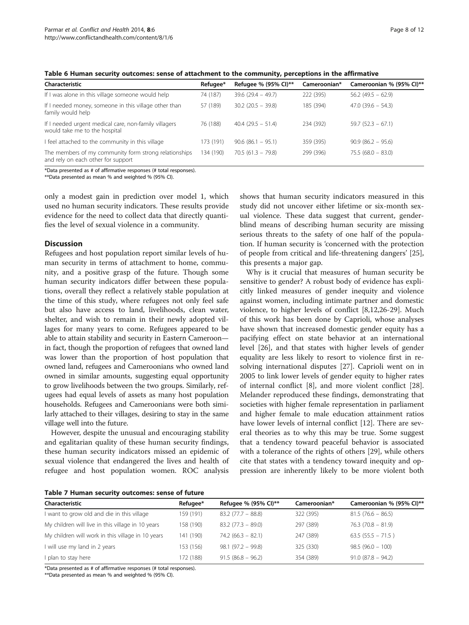<span id="page-7-0"></span>

| Characteristic                                                                              | Refugee*  | Refugee % (95% CI)** | Cameroonian* | Cameroonian % (95% CI)** |
|---------------------------------------------------------------------------------------------|-----------|----------------------|--------------|--------------------------|
| If I was alone in this village someone would help                                           | 74 (187)  | $39.6$ (29.4 – 49.7) | 222 (395)    | $56.2(49.5 - 62.9)$      |
| If I needed money, someone in this village other than<br>family would help                  | 57 (189)  | $30.2(20.5 - 39.8)$  | 185 (394)    | $47.0(39.6 - 54.3)$      |
| If I needed urgent medical care, non-family villagers<br>would take me to the hospital      | 76 (188)  | $40.4(29.5 - 51.4)$  | 234 (392)    | $59.7(52.3 - 67.1)$      |
| I feel attached to the community in this village                                            | 173 (191) | $90.6(86.1 - 95.1)$  | 359 (395)    | $90.9(86.2 - 95.6)$      |
| The members of my community form strong relationships<br>and rely on each other for support | 134 (190) | $70.5(61.3 - 79.8)$  | 299 (396)    | $75.5(68.0 - 83.0)$      |

\*Data presented as # of affirmative responses (# total responses).

\*\*Data presented as mean % and weighted % (95% CI).

only a modest gain in prediction over model 1, which used no human security indicators. These results provide evidence for the need to collect data that directly quantifies the level of sexual violence in a community.

### **Discussion**

Refugees and host population report similar levels of human security in terms of attachment to home, community, and a positive grasp of the future. Though some human security indicators differ between these populations, overall they reflect a relatively stable population at the time of this study, where refugees not only feel safe but also have access to land, livelihoods, clean water, shelter, and wish to remain in their newly adopted villages for many years to come. Refugees appeared to be able to attain stability and security in Eastern Cameroon in fact, though the proportion of refugees that owned land was lower than the proportion of host population that owned land, refugees and Cameroonians who owned land owned in similar amounts, suggesting equal opportunity to grow livelihoods between the two groups. Similarly, refugees had equal levels of assets as many host population households. Refugees and Cameroonians were both similarly attached to their villages, desiring to stay in the same village well into the future.

However, despite the unusual and encouraging stability and egalitarian quality of these human security findings, these human security indicators missed an epidemic of sexual violence that endangered the lives and health of refugee and host population women. ROC analysis

shows that human security indicators measured in this study did not uncover either lifetime or six-month sexual violence. These data suggest that current, genderblind means of describing human security are missing serious threats to the safety of one half of the population. If human security is 'concerned with the protection of people from critical and life-threatening dangers' [\[25](#page-11-0)], this presents a major gap.

Why is it crucial that measures of human security be sensitive to gender? A robust body of evidence has explicitly linked measures of gender inequity and violence against women, including intimate partner and domestic violence, to higher levels of conflict [[8,12,](#page-10-0)[26-29](#page-11-0)]. Much of this work has been done by Caprioli, whose analyses have shown that increased domestic gender equity has a pacifying effect on state behavior at an international level [[26\]](#page-11-0), and that states with higher levels of gender equality are less likely to resort to violence first in resolving international disputes [\[27\]](#page-11-0). Caprioli went on in 2005 to link lower levels of gender equity to higher rates of internal conflict [[8\]](#page-10-0), and more violent conflict [\[28](#page-11-0)]. Melander reproduced these findings, demonstrating that societies with higher female representation in parliament and higher female to male education attainment ratios have lower levels of internal conflict [[12](#page-10-0)]. There are several theories as to why this may be true. Some suggest that a tendency toward peaceful behavior is associated with a tolerance of the rights of others [\[29\]](#page-11-0), while others cite that states with a tendency toward inequity and oppression are inherently likely to be more violent both

|  |  |  | Table 7 Human security outcomes: sense of future |  |  |
|--|--|--|--------------------------------------------------|--|--|
|--|--|--|--------------------------------------------------|--|--|

| Characteristic                                    | Refugee*  | Refugee % (95% CI)** | Cameroonian* | Cameroonian % (95% CI)** |
|---------------------------------------------------|-----------|----------------------|--------------|--------------------------|
| want to grow old and die in this village          | 159 (191) | $83.2(77.7 - 88.8)$  | 322 (395)    | $81.5(76.6 - 86.5)$      |
| My children will live in this village in 10 years | 158 (190) | $83.2(77.3 - 89.0)$  | 297 (389)    | $76.3(70.8 - 81.9)$      |
| My children will work in this village in 10 years | 141 (190) | $74.2(66.3 - 82.1)$  | 247 (389)    | $63.5(55.5 - 71.5)$      |
| I will use my land in 2 years                     | 153 (156) | $98.1(97.2 - 99.8)$  | 325 (330)    | $98.5(96.0 - 100)$       |
| plan to stay here                                 | 172 (188) | $91.5(86.8 - 96.2)$  | 354 (389)    | $91.0(87.8 - 94.2)$      |

\*Data presented as # of affirmative responses (# total responses).

\*\*Data presented as mean % and weighted % (95% CI).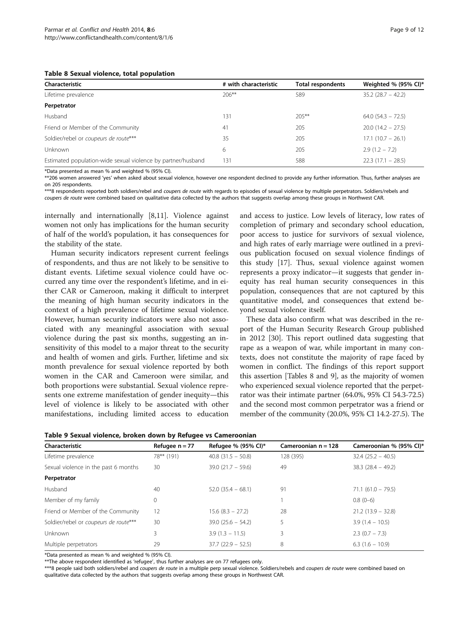### <span id="page-8-0"></span>Table 8 Sexual violence, total population

| Characteristic                                               | # with characteristic | <b>Total respondents</b> | Weighted % $(95%$ CI)* |
|--------------------------------------------------------------|-----------------------|--------------------------|------------------------|
| Lifetime prevalence                                          | $206***$              | 589                      | $35.2$ (28.7 - 42.2)   |
| Perpetrator                                                  |                       |                          |                        |
| Husband                                                      | 131                   | $205***$                 | $64.0$ (54.3 – 72.5)   |
| Friend or Member of the Community                            | 41                    | 205                      | $20.0$ (14.2 – 27.5)   |
| Soldier/rebel or coupeurs de route***                        | 35                    | 205                      | $17.1(10.7 - 26.1)$    |
| <b>Unknown</b>                                               | 6                     | 205                      | $2.9(1.2 - 7.2)$       |
| Estimated population-wide sexual violence by partner/husband | 131                   | 588                      | $22.3(17.1 - 28.5)$    |

\*Data presented as mean % and weighted % (95% CI).

\*\*206 women answered 'yes' when asked about sexual violence, however one respondent declined to provide any further information. Thus, further analyses are on 205 respondents.

\*\*\*8 respondents reported both soldiers/rebel and coupers de route with regards to episodes of sexual violence by multiple perpetrators. Soldiers/rebels and coupers de route were combined based on qualitative data collected by the authors that suggests overlap among these groups in Northwest CAR.

internally and internationally [[8,11\]](#page-10-0). Violence against women not only has implications for the human security of half of the world's population, it has consequences for the stability of the state.

Human security indicators represent current feelings of respondents, and thus are not likely to be sensitive to distant events. Lifetime sexual violence could have occurred any time over the respondent's lifetime, and in either CAR or Cameroon, making it difficult to interpret the meaning of high human security indicators in the context of a high prevalence of lifetime sexual violence. However, human security indicators were also not associated with any meaningful association with sexual violence during the past six months, suggesting an insensitivity of this model to a major threat to the security and health of women and girls. Further, lifetime and six month prevalence for sexual violence reported by both women in the CAR and Cameroon were similar, and both proportions were substantial. Sexual violence represents one extreme manifestation of gender inequity—this level of violence is likely to be associated with other manifestations, including limited access to education

and access to justice. Low levels of literacy, low rates of completion of primary and secondary school education, poor access to justice for survivors of sexual violence, and high rates of early marriage were outlined in a previous publication focused on sexual violence findings of this study [[17](#page-11-0)]. Thus, sexual violence against women represents a proxy indicator—it suggests that gender inequity has real human security consequences in this population, consequences that are not captured by this quantitative model, and consequences that extend beyond sexual violence itself.

These data also confirm what was described in the report of the Human Security Research Group published in 2012 [\[30](#page-11-0)]. This report outlined data suggesting that rape as a weapon of war, while important in many contexts, does not constitute the majority of rape faced by women in conflict. The findings of this report support this assertion [Tables 8 and 9], as the majority of women who experienced sexual violence reported that the perpetrator was their intimate partner (64.0%, 95% CI 54.3-72.5) and the second most common perpetrator was a friend or member of the community (20.0%, 95% CI 14.2-27.5). The

| Table 9 Sexual violence, broken down by Refugee vs Cameroonian |  |  |  |  |
|----------------------------------------------------------------|--|--|--|--|
|----------------------------------------------------------------|--|--|--|--|

| Characteristic                        | Refugee $n = 77$ | Refugee % (95% CI)*  | Cameroonian $n = 128$ | Cameroonian % (95% CI)* |  |  |
|---------------------------------------|------------------|----------------------|-----------------------|-------------------------|--|--|
| Lifetime prevalence                   | 78** (191)       | $40.8$ (31.5 - 50.8) | 128 (395)             | $32.4(25.2 - 40.5)$     |  |  |
| Sexual violence in the past 6 months  | 30               | $39.0(21.7 - 59.6)$  | 49                    | $38.3(28.4 - 49.2)$     |  |  |
| Perpetrator                           |                  |                      |                       |                         |  |  |
| Husband                               | 40               | $52.0$ (35.4 - 68.1) | 91                    | $71.1 (61.0 - 79.5)$    |  |  |
| Member of my family                   | $\Omega$         |                      |                       | $0.8(0-6)$              |  |  |
| Friend or Member of the Community     | 12               | $15.6(8.3 - 27.2)$   | 28                    | $21.2(13.9 - 32.8)$     |  |  |
| Soldier/rebel or coupeurs de route*** | 30               | $39.0$ (25.6 - 54.2) | 5                     | $3.9(1.4 - 10.5)$       |  |  |
| Unknown                               | 3                | $3.9(1.3 - 11.5)$    | 3                     | $2.3$ (0.7 – 7.3)       |  |  |
| Multiple perpetrators                 | 29               | $37.7(22.9 - 52.5)$  | 8                     | $6.3(1.6 - 10.9)$       |  |  |
|                                       |                  |                      |                       |                         |  |  |

\*Data presented as mean % and weighted % (95% CI).

\*\*The above respondent identified as 'refugee', thus further analyses are on 77 refugees only.

\*\*\*8 people said both soldiers/rebel and coupers de route in a multiple perp sexual violence. Soldiers/rebels and coupers de route were combined based on qualitative data collected by the authors that suggests overlap among these groups in Northwest CAR.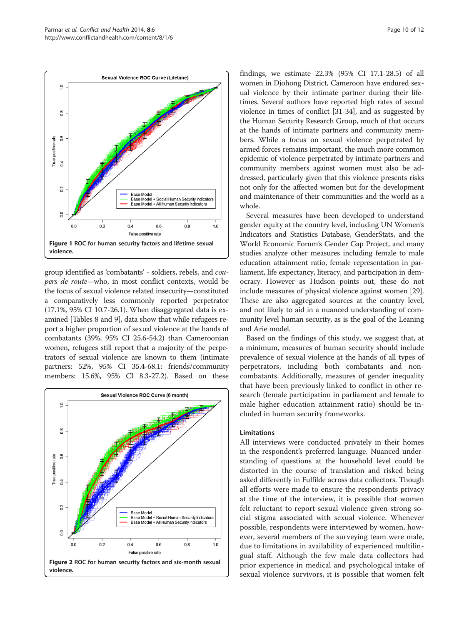<span id="page-9-0"></span>

group identified as 'combatants' - soldiers, rebels, and coupers de route—who, in most conflict contexts, would be the focus of sexual violence related insecurity—constituted a comparatively less commonly reported perpetrator (17.1%, 95% CI 10.7-26.1). When disaggregated data is examined [Tables [8](#page-8-0) and [9](#page-8-0)], data show that while refugees report a higher proportion of sexual violence at the hands of combatants (39%, 95% CI 25.6-54.2) than Cameroonian women, refugees still report that a majority of the perpetrators of sexual violence are known to them (intimate partners: 52%, 95% CI 35.4-68.1: friends/community members: 15.6%, 95% CI 8.3-27.2). Based on these



findings, we estimate 22.3% (95% CI 17.1-28.5) of all women in Djohong District, Cameroon have endured sexual violence by their intimate partner during their lifetimes. Several authors have reported high rates of sexual violence in times of conflict [\[31-34](#page-11-0)], and as suggested by the Human Security Research Group, much of that occurs at the hands of intimate partners and community members. While a focus on sexual violence perpetrated by armed forces remains important, the much more common epidemic of violence perpetrated by intimate partners and community members against women must also be addressed, particularly given that this violence presents risks not only for the affected women but for the development and maintenance of their communities and the world as a whole.

Several measures have been developed to understand gender equity at the country level, including UN Women's Indicators and Statistics Database, GenderStats, and the World Economic Forum's Gender Gap Project, and many studies analyze other measures including female to male education attainment ratio, female representation in parliament, life expectancy, literacy, and participation in democracy. However as Hudson points out, these do not include measures of physical violence against women [[29](#page-11-0)]. These are also aggregated sources at the country level, and not likely to aid in a nuanced understanding of community level human security, as is the goal of the Leaning and Arie model.

Based on the findings of this study, we suggest that, at a minimum, measures of human security should include prevalence of sexual violence at the hands of all types of perpetrators, including both combatants and noncombatants. Additionally, measures of gender inequality that have been previously linked to conflict in other research (female participation in parliament and female to male higher education attainment ratio) should be included in human security frameworks.

### Limitations

All interviews were conducted privately in their homes in the respondent's preferred language. Nuanced understanding of questions at the household level could be distorted in the course of translation and risked being asked differently in Fulfilde across data collectors. Though all efforts were made to ensure the respondents privacy at the time of the interview, it is possible that women felt reluctant to report sexual violence given strong social stigma associated with sexual violence. Whenever possible, respondents were interviewed by women, however, several members of the surveying team were male, due to limitations in availability of experienced multilingual staff. Although the few male data collectors had prior experience in medical and psychological intake of sexual violence survivors, it is possible that women felt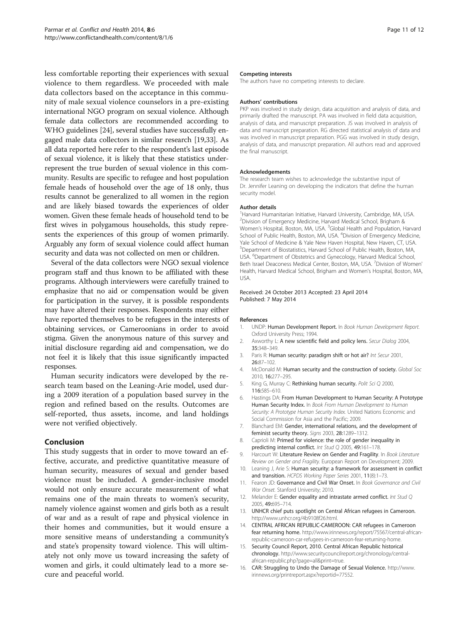<span id="page-10-0"></span>less comfortable reporting their experiences with sexual violence to them regardless. We proceeded with male data collectors based on the acceptance in this community of male sexual violence counselors in a pre-existing international NGO program on sexual violence. Although female data collectors are recommended according to WHO guidelines [\[24\]](#page-11-0), several studies have successfully engaged male data collectors in similar research [[19](#page-11-0),[33](#page-11-0)]. As all data reported here refer to the respondent's last episode of sexual violence, it is likely that these statistics underrepresent the true burden of sexual violence in this community. Results are specific to refugee and host population female heads of household over the age of 18 only, thus results cannot be generalized to all women in the region and are likely biased towards the experiences of older women. Given these female heads of household tend to be first wives in polygamous households, this study represents the experiences of this group of women primarily. Arguably any form of sexual violence could affect human security and data was not collected on men or children.

Several of the data collectors were NGO sexual violence program staff and thus known to be affiliated with these programs. Although interviewers were carefully trained to emphasize that no aid or compensation would be given for participation in the survey, it is possible respondents may have altered their responses. Respondents may either have reported themselves to be refugees in the interests of obtaining services, or Cameroonians in order to avoid stigma. Given the anonymous nature of this survey and initial disclosure regarding aid and compensation, we do not feel it is likely that this issue significantly impacted responses.

Human security indicators were developed by the research team based on the Leaning-Arie model, used during a 2009 iteration of a population based survey in the region and refined based on the results. Outcomes are self-reported, thus assets, income, and land holdings were not verified objectively.

# Conclusion

This study suggests that in order to move toward an effective, accurate, and predictive quantitative measure of human security, measures of sexual and gender based violence must be included. A gender-inclusive model would not only ensure accurate measurement of what remains one of the main threats to women's security, namely violence against women and girls both as a result of war and as a result of rape and physical violence in their homes and communities, but it would ensure a more sensitive means of understanding a community's and state's propensity toward violence. This will ultimately not only move us toward increasing the safety of women and girls, it could ultimately lead to a more secure and peaceful world.

### Competing interests

The authors have no competing interests to declare.

### Authors' contributions

PKP was involved in study design, data acquisition and analysis of data, and primarily drafted the manuscript. PA was involved in field data acquisition, analysis of data, and manuscript preparation. JS was involved in analysis of data and manuscript preparation. RG directed statistical analysis of data and was involved in manuscript preparation. PGG was involved in study design, analysis of data, and manuscript preparation. All authors read and approved the final manuscript.

### Acknowledgements

The research team wishes to acknowledge the substantive input of Dr. Jennifer Leaning on developing the indicators that define the human security model.

### Author details

<sup>1</sup> Harvard Humanitarian Initiative, Harvard University, Cambridge, MA, USA 2 Division of Emergency Medicine, Harvard Medical School, Brigham & Women's Hospital, Boston, MA, USA. <sup>3</sup>Global Health and Population, Harvard School of Public Health, Boston, MA, USA. <sup>4</sup> Division of Emergency Medicine, Yale School of Medicine & Yale New Haven Hospital, New Haven, CT, USA. 5 Department of Biostatistics, Harvard School of Public Health, Boston, MA, USA. <sup>6</sup>Department of Obstetrics and Gynecology, Harvard Medical School, Beth Israel Deaconess Medical Center, Boston, MA, USA. <sup>7</sup>Division of Women Health, Harvard Medical School, Brigham and Women's Hospital, Boston, MA, USA.

### Received: 24 October 2013 Accepted: 23 April 2014 Published: 7 May 2014

### References

- 1. UNDP: Human Development Report. In Book Human Development Report. Oxford University Press; 1994.
- 2. Axworthy L: A new scientific field and policy lens. Secur Dialog 2004, 35:348–349.
- 3. Paris R: Human security: paradigm shift or hot air? Int Secur 2001, 26:87–102.
- 4. McDonald M: Human security and the construction of society. Global Soc 2010, 16:277–295.
- 5. King G, Murray C: Rethinking human security. Polit Sci Q 2000, 116:585–610.
- 6. Hastings DA: From Human Development to Human Security: A Prototype Human Security Index. In Book From Human Development to Human Security: A Prototype Human Security Index. United Nations Economic and Social Commission for Asia and the Pacific; 2009.
- 7. Blanchard EM: Gender, international relations, and the development of feminist security theory. Signs 2003, 28:1289–1312.
- 8. Caprioli M: Primed for violence: the role of gender inequality in predicting internal conflict. Int Stud Q 2005, 49:161-178.
- 9. Harcourt W: Literature Review on Gender and Fragility. In Book Literature Review on Gender and Fragility. European Report on Development; 2009.
- 10. Leaning J, Arie S: Human security: a framework for assessment in conflict and transition. HCPDS Working Paper Series 2001, 11(8):1–73.
- 11. Fearon JD: Governance and Civil War Onset. In Book Governance and Civil War Onset. Stanford University; 2010.
- 12. Melander E: Gender equality and intrastate armed conflict. Int Stud Q 2005, 49:695–714.
- 13. UNHCR chief puts spotlight on Central African refugees in Cameroon. <http://www.unhcr.org/4b9108f26.html>.
- 14. CENTRAL AFRICAN REPUBLIC-CAMEROON: CAR refugees in Cameroon fear returning home. [http://www.irinnews.org/report/75567/central-african](http://www.irinnews.org/report/75567/central-african-republic-cameroon-car-refugees-in-cameroon-fear-returning-home)[republic-cameroon-car-refugees-in-cameroon-fear-returning-home.](http://www.irinnews.org/report/75567/central-african-republic-cameroon-car-refugees-in-cameroon-fear-returning-home)
- 15. Security Council Report, 2010. Central African Republic historical chronology. [http://www.securitycouncilreport.org/chronology/central](http://www.securitycouncilreport.org/chronology/central-african-republic.php?page=all&print=true)[african-republic.php?page=all&print=true](http://www.securitycouncilreport.org/chronology/central-african-republic.php?page=all&print=true).
- 16. CAR: Struggling to Undo the Damage of Sexual Violence. [http://www.](http://www.irinnews.org/printreport.aspx?reportid=77552) [irinnews.org/printreport.aspx?reportid=77552](http://www.irinnews.org/printreport.aspx?reportid=77552).